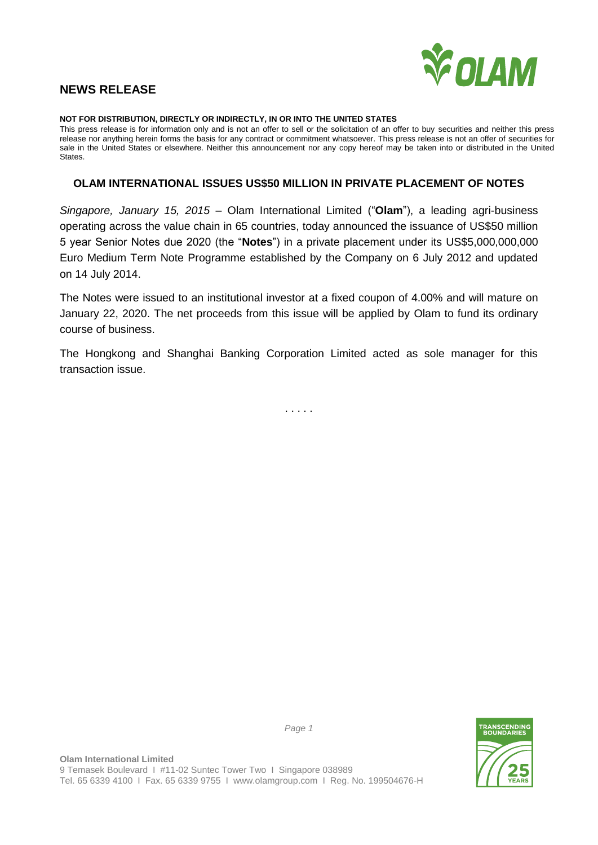

# **NEWS RELEASE**

#### **NOT FOR DISTRIBUTION, DIRECTLY OR INDIRECTLY, IN OR INTO THE UNITED STATES**

This press release is for information only and is not an offer to sell or the solicitation of an offer to buy securities and neither this press release nor anything herein forms the basis for any contract or commitment whatsoever. This press release is not an offer of securities for sale in the United States or elsewhere. Neither this announcement nor any copy hereof may be taken into or distributed in the United States.

# **OLAM INTERNATIONAL ISSUES US\$50 MILLION IN PRIVATE PLACEMENT OF NOTES**

*Singapore, January 15, 2015* – Olam International Limited ("**Olam**"), a leading agri-business operating across the value chain in 65 countries, today announced the issuance of US\$50 million 5 year Senior Notes due 2020 (the "**Notes**") in a private placement under its US\$5,000,000,000 Euro Medium Term Note Programme established by the Company on 6 July 2012 and updated on 14 July 2014.

The Notes were issued to an institutional investor at a fixed coupon of 4.00% and will mature on January 22, 2020. The net proceeds from this issue will be applied by Olam to fund its ordinary course of business.

The Hongkong and Shanghai Banking Corporation Limited acted as sole manager for this transaction issue.

. . . . .



*Page 1*